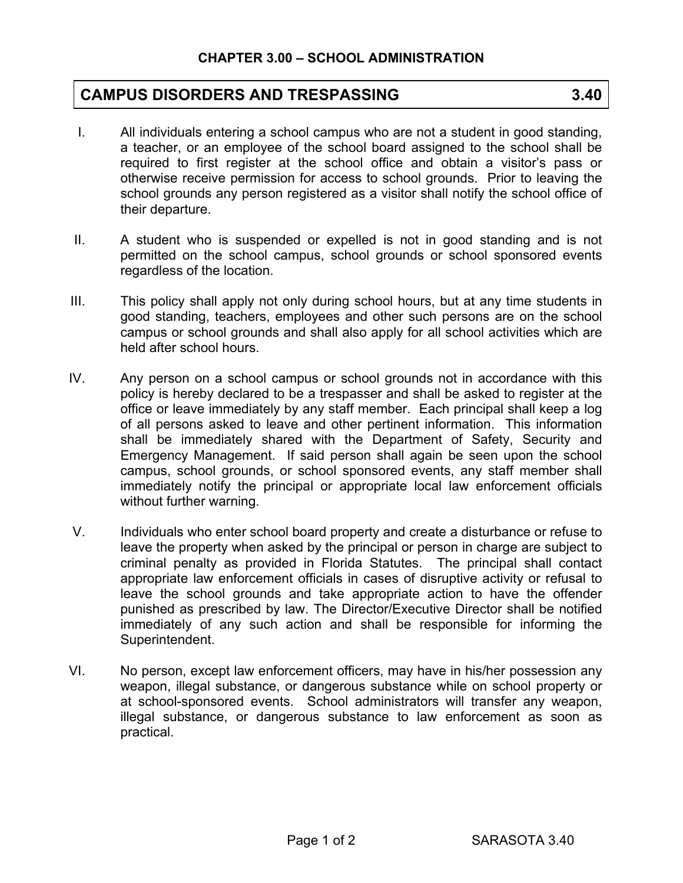## **CAMPUS DISORDERS AND TRESPASSING 3.40**

- I. All individuals entering a school campus who are not a student in good standing, a teacher, or an employee of the school board assigned to the school shall be required to first register at the school office and obtain a visitor's pass or otherwise receive permission for access to school grounds. Prior to leaving the school grounds any person registered as a visitor shall notify the school office of their departure.
- II. A student who is suspended or expelled is not in good standing and is not permitted on the school campus, school grounds or school sponsored events regardless of the location.
- III. This policy shall apply not only during school hours, but at any time students in good standing, teachers, employees and other such persons are on the school campus or school grounds and shall also apply for all school activities which are held after school hours.
- IV. Any person on a school campus or school grounds not in accordance with this policy is hereby declared to be a trespasser and shall be asked to register at the office or leave immediately by any staff member. Each principal shall keep a log of all persons asked to leave and other pertinent information. This information shall be immediately shared with the Department of Safety, Security and Emergency Management. If said person shall again be seen upon the school campus, school grounds, or school sponsored events, any staff member shall immediately notify the principal or appropriate local law enforcement officials without further warning.
- V. Individuals who enter school board property and create a disturbance or refuse to leave the property when asked by the principal or person in charge are subject to criminal penalty as provided in Florida Statutes. The principal shall contact appropriate law enforcement officials in cases of disruptive activity or refusal to leave the school grounds and take appropriate action to have the offender punished as prescribed by law. The Director/Executive Director shall be notified immediately of any such action and shall be responsible for informing the Superintendent.
- VI. No person, except law enforcement officers, may have in his/her possession any weapon, illegal substance, or dangerous substance while on school property or at school-sponsored events. School administrators will transfer any weapon, illegal substance, or dangerous substance to law enforcement as soon as practical.